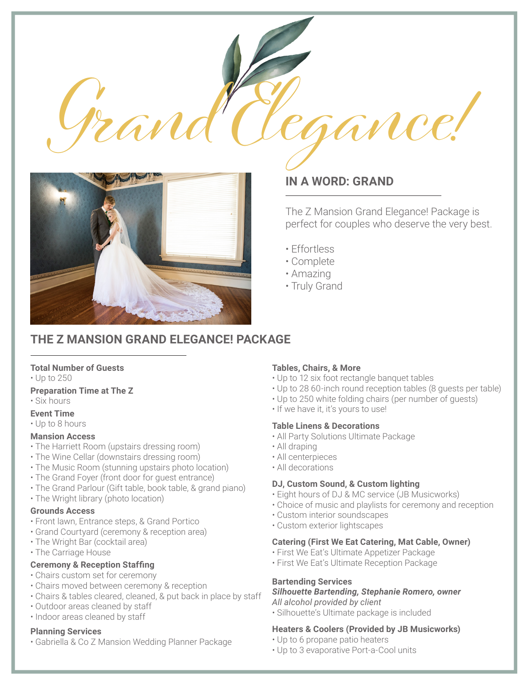



# **IN A WORD: GRAND**

The Z Mansion Grand Elegance! Package is perfect for couples who deserve the very best.

- Effortless
- Complete
- Amazing
- Truly Grand

## **THE Z MANSION GRAND ELEGANCE! PACKAGE**

#### **Total Number of Guests**

• Up to 250

### **Preparation Time at The Z**

- Six hours
- **Event Time**
- Up to 8 hours

#### **Mansion Access**

- The Harriett Room (upstairs dressing room)
- The Wine Cellar (downstairs dressing room)
- The Music Room (stunning upstairs photo location)
- The Grand Foyer (front door for guest entrance)
- The Grand Parlour (Gift table, book table, & grand piano)
- The Wright library (photo location)

### **Grounds Access**

- Front lawn, Entrance steps, & Grand Portico
- Grand Courtyard (ceremony & reception area)
- The Wright Bar (cocktail area)
- The Carriage House

#### **Ceremony & Reception Staffing**

- Chairs custom set for ceremony
- Chairs moved between ceremony & reception
- Chairs & tables cleared, cleaned, & put back in place by staff
- Outdoor areas cleaned by staff
- Indoor areas cleaned by staff

#### **Planning Services**

• Gabriella & Co Z Mansion Wedding Planner Package

## **Tables, Chairs, & More**

- Up to 12 six foot rectangle banquet tables
- Up to 28 60-inch round reception tables (8 guests per table)
- Up to 250 white folding chairs (per number of guests)
- If we have it, it's yours to use!

#### **Table Linens & Decorations**

- All Party Solutions Ultimate Package
- All draping
- All centerpieces
- All decorations

## **DJ, Custom Sound, & Custom lighting**

- Eight hours of DJ & MC service (JB Musicworks)
- Choice of music and playlists for ceremony and reception
- Custom interior soundscapes
- Custom exterior lightscapes

#### **Catering (First We Eat Catering, Mat Cable, Owner)**

- First We Eat's Ultimate Appetizer Package
- First We Eat's Ultimate Reception Package

## **Bartending Services**

## *Silhouette Bartending, Stephanie Romero, owner*

*All alcohol provided by client*

• Silhouette's Ultimate package is included

## **Heaters & Coolers (Provided by JB Musicworks)**

- Up to 6 propane patio heaters
- Up to 3 evaporative Port-a-Cool units